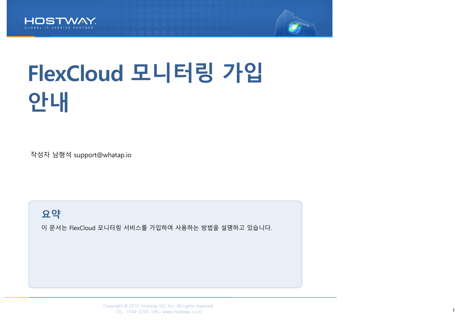



# FlexCloud 모니터링 가입 안내

작성자 남형석 support@whatap.io

요약

이 문서는 FlexCloud 모니터링 서비스를 가입하여 사용하는 방법을 설명하고 있습니다.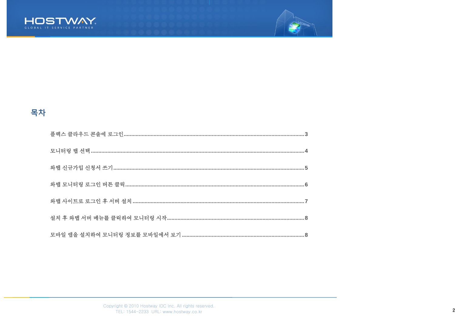



### 목차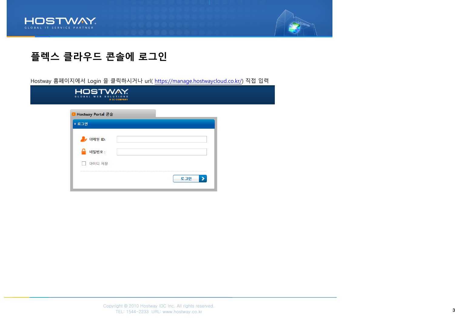



### <span id="page-2-0"></span>플렉스 클라우드 콘솔에 로그인

Hostway 홈페이지에서 Login 을 클릭하시거나 url( [https://manage.hostwaycloud.co.kr/\)](https://manage.hostwaycloud.co.kr/) 직접 입력

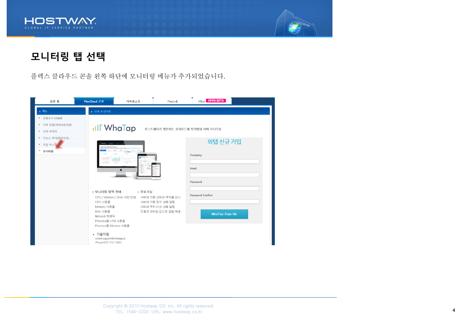



### <span id="page-3-0"></span>모니터링 탭 선택

플렉스 클라우드 콘솔 왼쪽 하단에 모니터링 메뉴가 추가되었습니다.

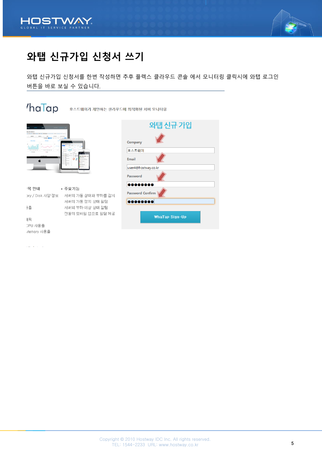<span id="page-4-0"></span>



# 와탭 신규가입 신청서 쓰기

와탭 신규가입 신청서를 한번 작성하면 추후 플렉스 클라우드 콘솔 에서 모니터링 클릭시에 와탭 로그인 버튼을 바로 보실 수 있습니다.

### $h$ a $\overline{I}$ ap

호스트웨이가 제안하는 클라우드에 최적화된 서버 모니터링



#### • 주요기능 목 한대 pry / Disk 사양 정보 서버의 가동 상태와 부하를 감시 서버의 가동 정지 상태 알림 員 서버의 부하 이상 상태 알림 전용의 모바일 앱으로 알람 제공 비픽 CPU 사용율 Memory 사용율

| 와탭 신규 가입                |              |
|-------------------------|--------------|
|                         | Company      |
|                         | 호스트웨이        |
|                         | <b>Email</b> |
| user4@hostway.co.kr     |              |
|                         | Password     |
| <b>. .</b>              |              |
| <b>Password Confirm</b> |              |
| ,,,,,,,                 |              |
| <b>WhaTap Sign-Up</b>   |              |

لواري والمر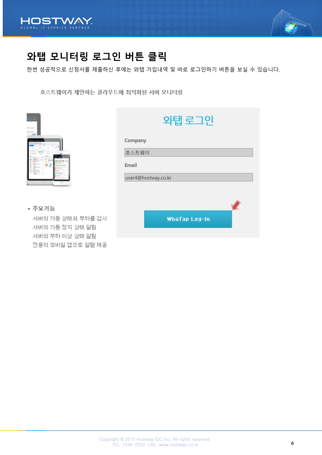<span id="page-5-0"></span>



## 와탭 모니터링 로그인 버튼 클릭

한번 성공적으로 신청서를 제출하신 후에는 와탭 가입내역 및 바로 로그인하기 버튼을 보실 수 있습니다.

호스트웨이가 제안하는 클라우드에 최적화된 서버 모니터링

|                                                                                                                                             | . .         |         |
|---------------------------------------------------------------------------------------------------------------------------------------------|-------------|---------|
| ٠                                                                                                                                           | ٠           |         |
| ۹<br>۰                                                                                                                                      | $\sim$<br>٠ | m<br>v. |
| $\overline{\phantom{a}}$<br>$\overline{\phantom{a}}$<br>٠<br>$\overline{\phantom{a}}$<br>$\overline{\phantom{a}}$<br>ı.<br>٠<br>$\sim$<br>٠ | ŧ           |         |
| ÷                                                                                                                                           | r.<br>٠     | ŧ<br>à. |
|                                                                                                                                             |             |         |

| 와탭 로그인              |
|---------------------|
| Company             |
| 호스트웨이               |
| <b>Email</b>        |
| user4@hostway.co.kr |
|                     |
|                     |
| WhaTap Log-In       |

• 주요기능

서버의 가동 상태와 부하를 감시 서버의 가동 정지 상태 알림 서버의 부하 이상 상태 알림 전용의 모바일 앱으로 알람 제공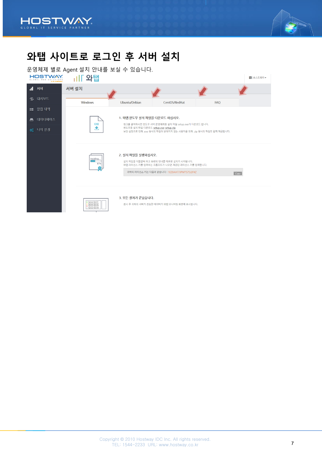<span id="page-6-0"></span>



# 와탭 사이트로 로그인 후 서버 설치

운영체제 별로 Agent 설치 안내를 보실 수 있습니다.

| HOSTWAY.<br>A 3C COMPANY |                                                                        |                                                                                                       |                                                                                                                                      |            | ■ 호스트웨이 ▼ |
|--------------------------|------------------------------------------------------------------------|-------------------------------------------------------------------------------------------------------|--------------------------------------------------------------------------------------------------------------------------------------|------------|-----------|
| 서버<br>.nl                | 서버 설치                                                                  |                                                                                                       |                                                                                                                                      |            |           |
| 대시보드<br>$\cdot$          | <b>Windows</b>                                                         | Ubuntu/Debian                                                                                         | CentOS/RedHat                                                                                                                        | <b>FAO</b> |           |
| 알림 내역<br>92.             |                                                                        |                                                                                                       |                                                                                                                                      |            |           |
| 데이터베이스<br>◓              | <b>EXE</b>                                                             | 1. 와탭 윈도우 설치 파일을 다운로드 하십시오.<br>링크를 클릭하시면 윈도우 서버 운영체제용 설치 파일 setup.exe가 다운로드 됩니다.                      |                                                                                                                                      |            |           |
| ☆ 나의 설정                  | ∙                                                                      | 윈도우용 설치 파일 다운로드 setup.exe setup.zip<br>보안 설정으로 인해 .exe 형식의 파일이 받아지지 않는 사용자를 위해 .zip 형식의 파일도 함께 제공됩니다. |                                                                                                                                      |            |           |
|                          |                                                                        |                                                                                                       |                                                                                                                                      |            |           |
|                          | Installing.<br>87%                                                     | 2. 설치 파일을 실행하십시오.                                                                                     | 설치 파일을 더블클릭 하고 화면의 안내를 따르면 설치가 시작됩니다.<br>와탭 라이선스 키를 입력하는 프롬프트가 나오면 제공된 라이선스 키를 입력합니다.<br>귀하의 라이선스 키는 다음과 같습니다 : 1EZ0AX77JPMT575J2FKZ | Copy       |           |
|                          | Server list 01<br>Server list 02<br>Server list 03<br>I Server list 04 | 3. 모든 절차가 끝났습니다.                                                                                      | 잠시 후 귀하의 서버가 전송한 데이터가 와탭 모니터링 화면에 표시됩니다.                                                                                             |            |           |